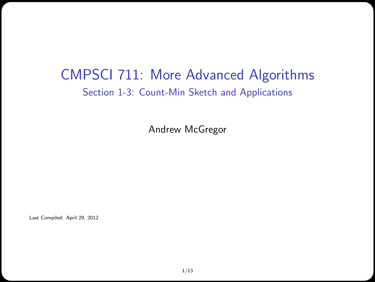#### CMPSCI 711: More Advanced Algorithms Section 1-3: Count-Min Sketch and Applications

Andrew McGregor

Last Compiled: April 29, 2012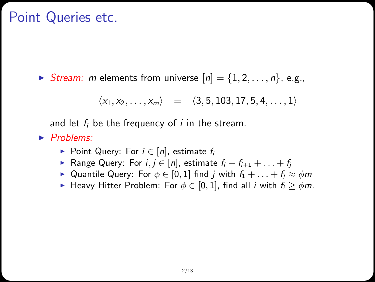# Point Queries etc.

Stream: m elements from universe  $[n] = \{1, 2, \ldots, n\}$ , e.g.,

$$
\langle x_1, x_2, \ldots, x_m \rangle = \langle 3, 5, 103, 17, 5, 4, \ldots, 1 \rangle
$$

and let  $f_i$  be the frequency of i in the stream.

 $\blacktriangleright$  Problems:

- ▶ Point Query: For  $i \in [n]$ , estimate  $f_i$
- ▶ Range Query: For  $i, j \in [n]$ , estimate  $f_i + f_{i+1} + \ldots + f_j$
- $\triangleright$  Quantile Query: For  $\phi \in [0,1]$  find *i* with  $f_1 + \ldots + f_i \approx \phi m$
- **►** Heavy Hitter Problem: For  $\phi \in [0,1]$ , find all *i* with  $f_i \ge \phi m$ .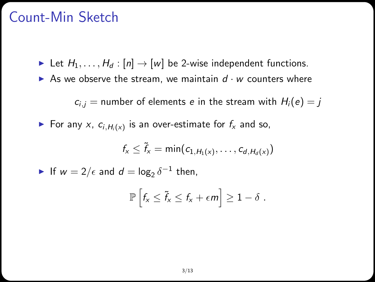# Count-Min Sketch

► Let  $H_1, \ldots, H_d : [n] \rightarrow [w]$  be 2-wise independent functions.

As we observe the stream, we maintain  $d \cdot w$  counters where

 $c_{i,j}$  = number of elements e in the stream with  $H_i(e) = j$ 

 $\blacktriangleright$  For any x,  $c_{i,H_i(x)}$  is an over-estimate for  $f_x$  and so,

$$
f_x \leq \tilde{f}_x = \min(c_{1,H_1(x)}, \ldots, c_{d,H_d(x)})
$$

If  $w = 2/\epsilon$  and  $d = \log_2 \delta^{-1}$  then,

$$
\mathbb{P}\left[f_x \leq \tilde{f}_x \leq f_x + \epsilon m\right] \geq 1 - \delta.
$$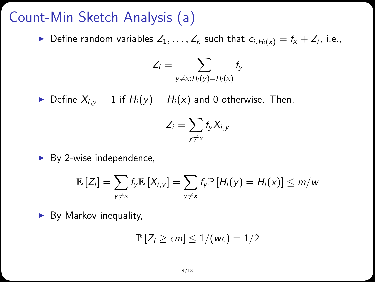# Count-Min Sketch Analysis (a)

 $\blacktriangleright$  Define random variables  $Z_1, \ldots, Z_k$  such that  $c_{i,H_i(x)} = f_x + Z_i$ , i.e.,

$$
Z_i = \sum_{y \neq x: H_i(y) = H_i(x)} f_y
$$

 $\blacktriangleright$  Define  $X_{i,y} = 1$  if  $H_i(y) = H_i(x)$  and 0 otherwise. Then,

$$
Z_i = \sum_{y \neq x} f_y X_{i,y}
$$

 $\blacktriangleright$  By 2-wise independence,

$$
\mathbb{E}\left[Z_i\right] = \sum_{y \neq x} f_y \mathbb{E}\left[X_{i,y}\right] = \sum_{y \neq x} f_y \mathbb{P}\left[H_i(y) = H_i(x)\right] \leq m/w
$$

 $\blacktriangleright$  By Markov inequality,

$$
\mathbb{P}\left[Z_i \geq \epsilon m\right] \leq 1/(w\epsilon) = 1/2
$$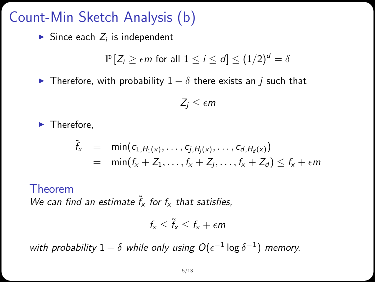# Count-Min Sketch Analysis (b)

Since each  $Z_i$  is independent

$$
\mathbb{P}\left[Z_i \geq \epsilon m \text{ for all } 1 \leq i \leq d \right] \leq (1/2)^d = \delta
$$

 $\triangleright$  Therefore, with probability  $1 - \delta$  there exists an *i* such that

$$
Z_j \leq \epsilon m
$$

 $\blacktriangleright$  Therefore,

$$
\tilde{f}_x = \min(c_{1, H_1(x)}, \ldots, c_{j, H_j(x)}, \ldots, c_{d, H_d(x)})
$$
\n
$$
= \min(f_x + Z_1, \ldots, f_x + Z_j, \ldots, f_x + Z_d) \le f_x + \epsilon m
$$

#### Theorem

We can find an estimate  $\tilde{f}_x$  for  $f_x$  that satisfies,

$$
f_x \leq \tilde{f}_x \leq f_x + \epsilon m
$$

with probability  $1 - \delta$  while only using  $O(\epsilon^{-1} \log \delta^{-1})$  memory.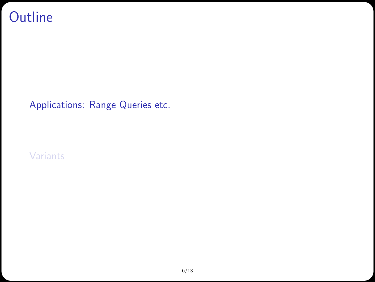## **Outline**

[Applications: Range Queries etc.](#page-5-0)

<span id="page-5-0"></span>[Variants](#page-9-0)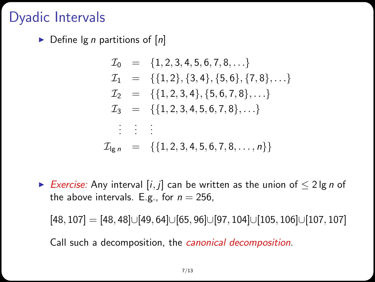### Dyadic Intervals

 $\triangleright$  Define  $\lg n$  partitions of  $[n]$ 

$$
T_0 = \{1, 2, 3, 4, 5, 6, 7, 8, \ldots\}
$$
  
\n
$$
T_1 = \{\{1, 2\}, \{3, 4\}, \{5, 6\}, \{7, 8\}, \ldots\}
$$
  
\n
$$
T_2 = \{\{1, 2, 3, 4\}, \{5, 6, 7, 8\}, \ldots\}
$$
  
\n
$$
T_3 = \{\{1, 2, 3, 4, 5, 6, 7, 8\}, \ldots\}
$$
  
\n
$$
\vdots \vdots
$$
  
\n
$$
T_{\lg n} = \{\{1, 2, 3, 4, 5, 6, 7, 8, \ldots, n\}\}
$$

► Exercise: Any interval [i, j] can be written as the union of  $\leq 2 \lg n$  of the above intervals. E.g., for  $n = 256$ ,

 $[48, 107] = [48, 48] \cup [49, 64] \cup [65, 96] \cup [97, 104] \cup [105, 106] \cup [107, 107]$ 

Call such a decomposition, the *canonical decomposition*.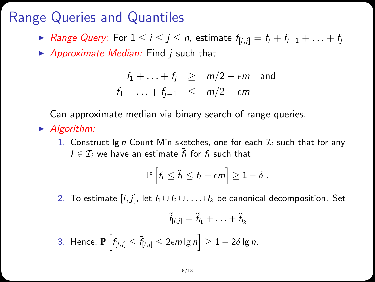# Range Queries and Quantiles

- **► Range Query:** For  $1 \le i \le j \le n$ , estimate  $f_{[i,j]} = f_i + f_{i+1} + \ldots + f_i$
- $\triangleright$  Approximate Median: Find j such that

$$
f_1 + \ldots + f_j \ge m/2 - \epsilon m \text{ and}
$$
  

$$
f_1 + \ldots + f_{j-1} \le m/2 + \epsilon m
$$

Can approximate median via binary search of range queries.

- $\blacktriangleright$  Algorithm:
	- 1. Construct  $\lg n$  Count-Min sketches, one for each  $\mathcal{I}_i$  such that for any  $I \in \mathcal{I}_i$  we have an estimate  $\tilde{f}_I$  for  $f_I$  such that

$$
\mathbb{P}\left[f_l \leq \tilde{f}_l \leq f_l + \epsilon m\right] \geq 1 - \delta.
$$

2. To estimate  $[i, j]$ , let  $I_1 \cup I_2 \cup \ldots \cup I_k$  be canonical decomposition. Set

$$
\tilde{f}_{[i,j]} = \tilde{f}_{l_1} + \ldots + \tilde{f}_{l_k}
$$

3. Hence,  $\mathbb{P}\left[f_{[i,j]}\leq \tilde{f}_{[i,j]}\leq 2\epsilon m\lg n\right]\geq 1-2\delta\lg n.$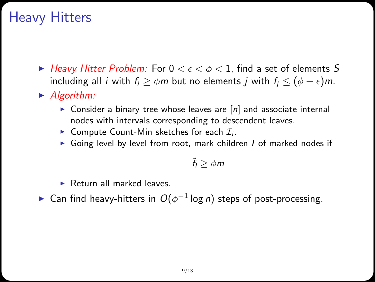# Heavy Hitters

- $\blacktriangleright$  Heavy Hitter Problem: For  $0 < \epsilon < \phi < 1$ , find a set of elements S including all *i* with  $f_i \geq \phi m$  but no elements *j* with  $f_i \leq (\phi - \epsilon)m$ .
- $\blacktriangleright$  Algorithm:
	- **Consider a binary tree whose leaves are [n] and associate internal** nodes with intervals corresponding to descendent leaves.
	- **Compute Count-Min sketches for each**  $\mathcal{I}_i$ **.**
	- Going level-by-level from root, mark children  $I$  of marked nodes if

$$
\tilde{f}_l \geq \phi m
$$

- $\blacktriangleright$  Return all marked leaves.
- ► Can find heavy-hitters in  $O(\phi^{-1}\log n)$  steps of post-processing.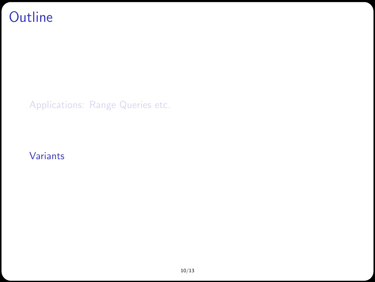# **Outline**

[Applications: Range Queries etc.](#page-5-0)

<span id="page-9-0"></span>[Variants](#page-9-0)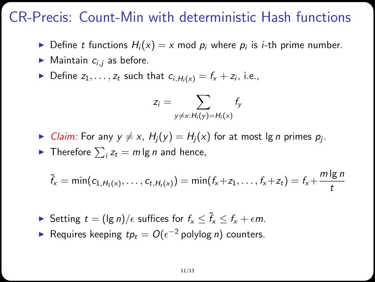#### CR-Precis: Count-Min with deterministic Hash functions

- $\blacktriangleright$  Define *t* functions  $H_i(x) = x \mod p_i$  where  $p_i$  is *i*-th prime number.
- $\blacktriangleright$  Maintain  $c_{i,j}$  as before.
- Define  $z_1, \ldots, z_t$  such that  $c_{i,H_i(x)} = f_x + z_i$ , i.e.,

$$
z_i = \sum_{y \neq x: H_i(y) = H_i(x)} f_y
$$

- $\blacktriangleright$  Claim: For any  $y \neq x$ ,  $H_j(y) = H_j(x)$  for at most  $\lg n$  primes  $p_j$ .
- $\blacktriangleright$  Therefore  $\sum_i z_t = m \lg n$  and hence,

$$
\tilde{f}_x = \min(c_{1, H_1(x)}, \ldots, c_{t, H_t(x)}) = \min(f_x + z_1, \ldots, f_x + z_t) = f_x + \frac{m \lg n}{t}
$$

- ► Setting  $t = (\lg n)/\epsilon$  suffices for  $f_x \le \tilde{f}_x \le f_x + \epsilon m$ .
- ► Requires keeping  $tp_t = O(\epsilon^{-2}$  polylog *n*) counters.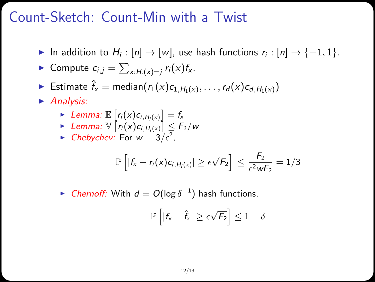# Count-Sketch: Count-Min with a Twist

► In addition to  $H_i: [n] \rightarrow [w]$ , use hash functions  $r_i: [n] \rightarrow \{-1, 1\}$ .

$$
\blacktriangleright \text{ Compute } c_{i,j} = \sum_{x: H_i(x) = j} r_i(x) f_x.
$$

► Estimate  $\hat{f}_x$  = median $(r_1(x)c_{1,H_1(x)}, \ldots, r_d(x)c_{d,H_1(x)})$ 

 $\blacktriangleright$  Analysis:

- $\blacktriangleright$  Lemma:  $\mathbb{E}\left[r_i(x)c_{i,H_i(x)}\right] = f_x$
- ► Lemma:  $\mathbb{V}\left[r_i(x)c_{i,H_i(x)}\right] \leq F_2/w$
- Chebychev: For  $w = 3/\epsilon^2$ ,

$$
\mathbb{P}\left[|f_x - r_i(x)c_{i, H_i(x)}| \ge \epsilon \sqrt{F_2}\right] \le \frac{F_2}{\epsilon^2 w F_2} = 1/3
$$

► Chernoff: With  $d = O(\log \delta^{-1})$  hash functions,

$$
\mathbb{P}\left[|f_x - \hat{f}_x| \ge \varepsilon \sqrt{\mathcal{F}_2}\right] \le 1 - \delta
$$